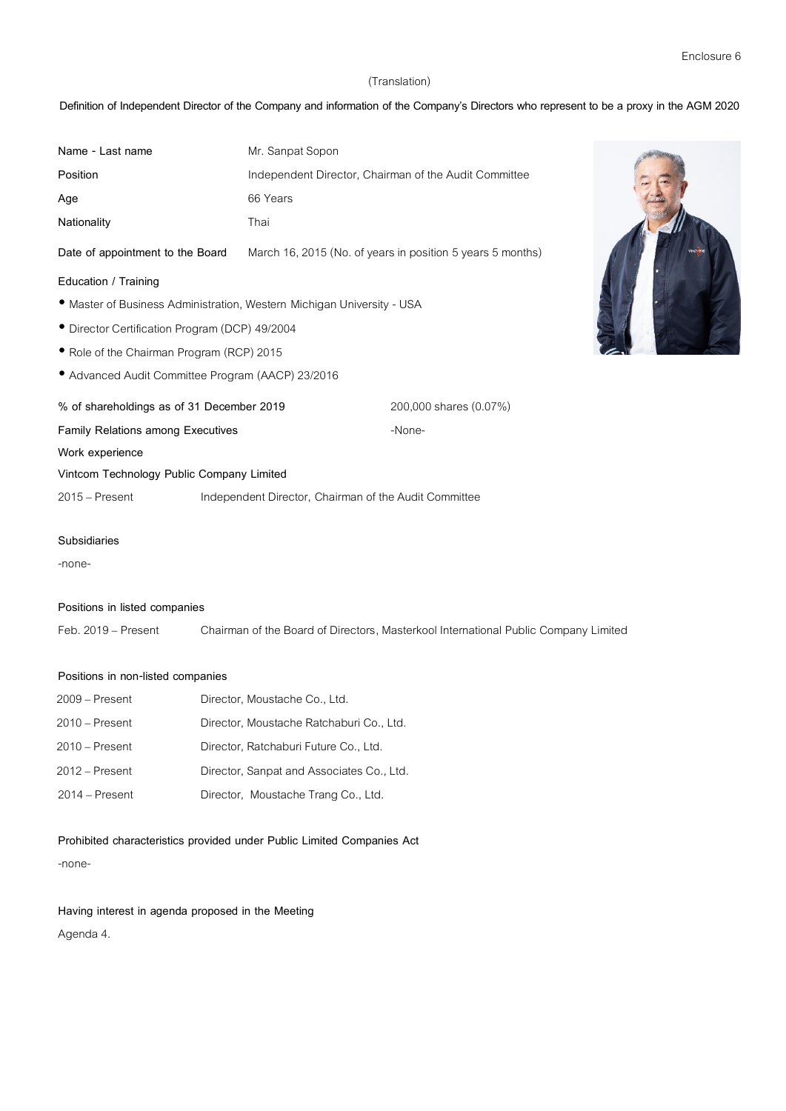## (Translation)

# **Definition of Independent Director of the Company and information of the Company's Directors who represent to be a proxy in the AGM 2020**

| Name - Last name                                                       | Mr. Sanpat Sopon |                                                            |  |  |
|------------------------------------------------------------------------|------------------|------------------------------------------------------------|--|--|
| Position                                                               |                  | Independent Director, Chairman of the Audit Committee      |  |  |
| Age                                                                    | 66 Years         |                                                            |  |  |
| Nationality                                                            | Thai             |                                                            |  |  |
| Date of appointment to the Board                                       |                  | March 16, 2015 (No. of years in position 5 years 5 months) |  |  |
| Education / Training                                                   |                  |                                                            |  |  |
| • Master of Business Administration, Western Michigan University - USA |                  |                                                            |  |  |
| • Director Certification Program (DCP) 49/2004                         |                  |                                                            |  |  |
| Role of the Chairman Program (RCP) 2015                                |                  |                                                            |  |  |
| • Advanced Audit Committee Program (AACP) 23/2016                      |                  |                                                            |  |  |
| % of shareholdings as of 31 December 2019                              |                  | 200,000 shares (0.07%)                                     |  |  |
| <b>Family Relations among Executives</b>                               |                  | -None-                                                     |  |  |
| Work experience                                                        |                  |                                                            |  |  |
| Vintcom Technology Public Company Limited                              |                  |                                                            |  |  |
| 2015 – Present                                                         |                  | Independent Director, Chairman of the Audit Committee      |  |  |
| Subsidiaries                                                           |                  |                                                            |  |  |

-none-

### **Positions in listed companies**

Feb. 2019– Present Chairman of the Board of Directors, Masterkool International Public Company Limited

### **Positions in non-listed companies**

| $2009 -$ Present | Director, Moustache Co., Ltd.             |
|------------------|-------------------------------------------|
| $2010 -$ Present | Director, Moustache Ratchaburi Co., Ltd.  |
| $2010$ – Present | Director, Ratchaburi Future Co., Ltd.     |
| $2012 -$ Present | Director, Sanpat and Associates Co., Ltd. |
| $2014 -$ Present | Director, Moustache Trang Co., Ltd.       |

**Prohibited characteristics provided under Public Limited Companies Act**

-none-

**Having interest in agenda proposed in the Meeting**

Agenda 4.

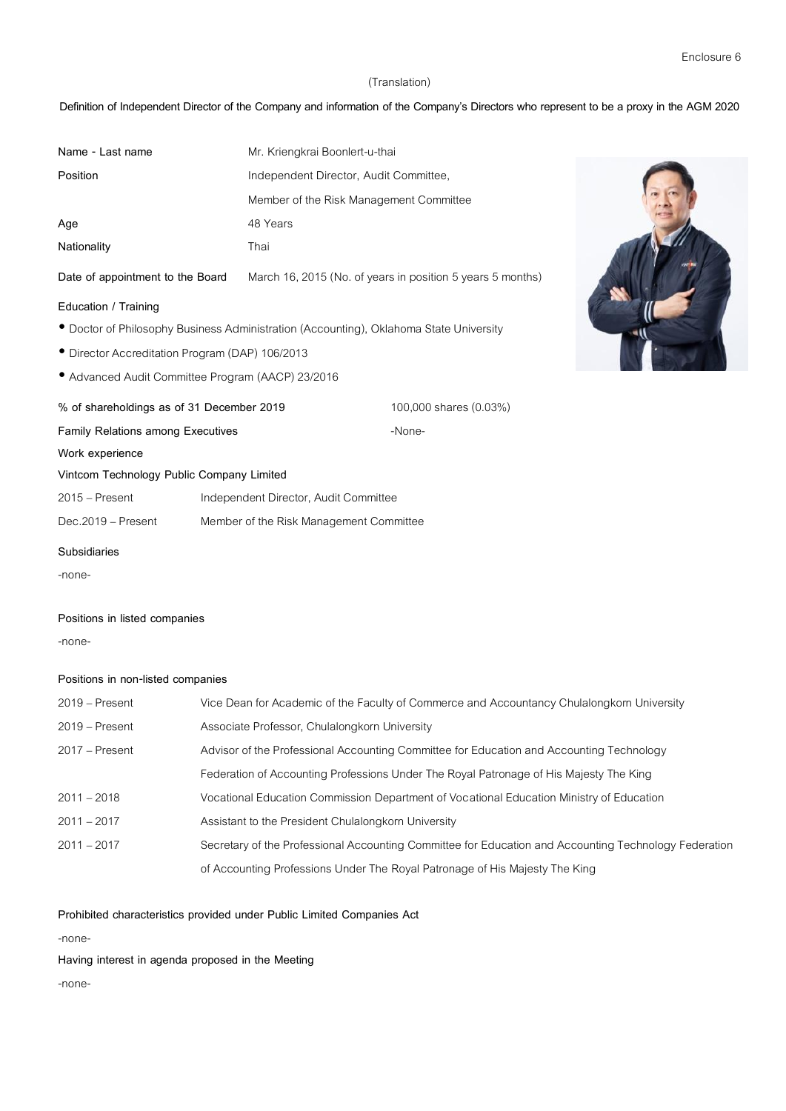### (Translation)

# **Definition of Independent Director of the Company and information of the Company's Directors who represent to be a proxy in the AGM 2020**

| Name - Last name                                                                       |  | Mr. Kriengkrai Boonlert-u-thai          |                                                            |  |
|----------------------------------------------------------------------------------------|--|-----------------------------------------|------------------------------------------------------------|--|
| Position                                                                               |  | Independent Director, Audit Committee,  |                                                            |  |
|                                                                                        |  | Member of the Risk Management Committee |                                                            |  |
| Age                                                                                    |  | 48 Years                                |                                                            |  |
| Nationality                                                                            |  | Thai                                    |                                                            |  |
| Date of appointment to the Board                                                       |  |                                         | March 16, 2015 (No. of years in position 5 years 5 months) |  |
| Education / Training                                                                   |  |                                         |                                                            |  |
| • Doctor of Philosophy Business Administration (Accounting), Oklahoma State University |  |                                         |                                                            |  |
| • Director Accreditation Program (DAP) 106/2013                                        |  |                                         |                                                            |  |
| • Advanced Audit Committee Program (AACP) 23/2016                                      |  |                                         |                                                            |  |
| % of shareholdings as of 31 December 2019                                              |  |                                         | 100,000 shares (0.03%)                                     |  |
| <b>Family Relations among Executives</b>                                               |  |                                         | -None-                                                     |  |
| Work experience                                                                        |  |                                         |                                                            |  |
| Vintcom Technology Public Company Limited                                              |  |                                         |                                                            |  |
| $2015 -$ Present                                                                       |  | Independent Director, Audit Committee   |                                                            |  |
| Dec.2019 - Present                                                                     |  | Member of the Risk Management Committee |                                                            |  |
| <b>Subsidiaries</b>                                                                    |  |                                         |                                                            |  |
| -none-                                                                                 |  |                                         |                                                            |  |

### **Positions in listed companies**

-none-

# **Positions in non-listed companies**

| $2019 -$ Present | Vice Dean for Academic of the Faculty of Commerce and Accountancy Chulalongkorn University            |
|------------------|-------------------------------------------------------------------------------------------------------|
| $2019 -$ Present | Associate Professor, Chulalongkorn University                                                         |
| 2017 – Present   | Advisor of the Professional Accounting Committee for Education and Accounting Technology              |
|                  | Federation of Accounting Professions Under The Royal Patronage of His Majesty The King                |
| $2011 - 2018$    | Vocational Education Commission Department of Vocational Education Ministry of Education              |
| $2011 - 2017$    | Assistant to the President Chulalongkorn University                                                   |
| $2011 - 2017$    | Secretary of the Professional Accounting Committee for Education and Accounting Technology Federation |
|                  | of Accounting Professions Under The Royal Patronage of His Majesty The King                           |

# **Prohibited characteristics provided under Public Limited Companies Act**

-none-

**Having interest in agenda proposed in the Meeting**

-none-